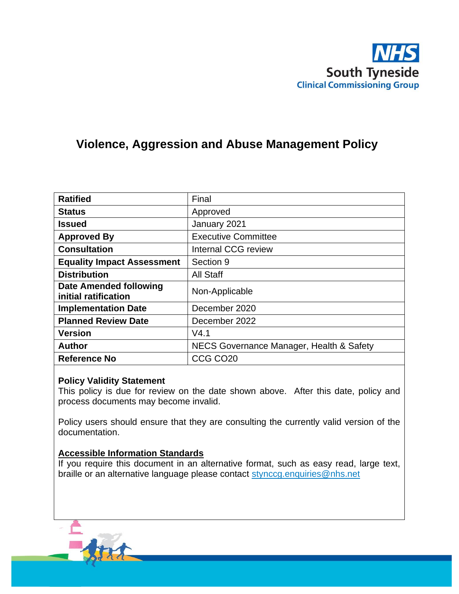

# **Violence, Aggression and Abuse Management Policy**

| <b>Ratified</b>                                       | Final                                    |
|-------------------------------------------------------|------------------------------------------|
| <b>Status</b>                                         | Approved                                 |
| <b>Issued</b>                                         | January 2021                             |
| <b>Approved By</b>                                    | <b>Executive Committee</b>               |
| <b>Consultation</b>                                   | Internal CCG review                      |
| <b>Equality Impact Assessment</b>                     | Section 9                                |
| <b>Distribution</b>                                   | <b>All Staff</b>                         |
| <b>Date Amended following</b><br>initial ratification | Non-Applicable                           |
| <b>Implementation Date</b>                            | December 2020                            |
| <b>Planned Review Date</b>                            | December 2022                            |
| <b>Version</b>                                        | V4.1                                     |
| <b>Author</b>                                         | NECS Governance Manager, Health & Safety |
| <b>Reference No</b>                                   | CCG CO <sub>20</sub>                     |

### **Policy Validity Statement**

This policy is due for review on the date shown above. After this date, policy and process documents may become invalid.

Policy users should ensure that they are consulting the currently valid version of the documentation.

## **Accessible Information Standards**

If you require this document in an alternative format, such as easy read, large text, braille or an alternative language please contact [stynccg.enquiries@nhs.net](mailto:stynccg.enquiries@nhs.net)

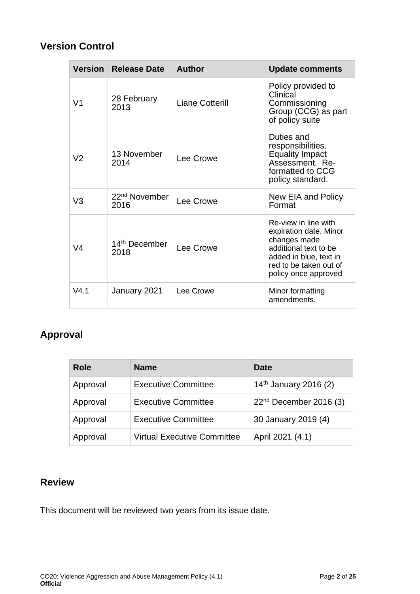# **Version Control**

| <b>Version</b> | <b>Release Date</b>               | <b>Author</b>          | <b>Update comments</b>                                                                                                                                              |
|----------------|-----------------------------------|------------------------|---------------------------------------------------------------------------------------------------------------------------------------------------------------------|
| V <sub>1</sub> | 28 February<br>2013               | <b>Liane Cotterill</b> | Policy provided to<br>Clinical<br>Commissioning<br>Group (CCG) as part<br>of policy suite                                                                           |
| V <sub>2</sub> | 13 November<br>2014               | Lee Crowe              | Duties and<br>responsibilities.<br><b>Equality Impact</b><br>Assessment. Re-<br>formatted to CCG<br>policy standard.                                                |
| V <sub>3</sub> | 22 <sup>nd</sup> November<br>2016 | Lee Crowe              | New EIA and Policy<br>Format                                                                                                                                        |
| V <sub>4</sub> | 14 <sup>th</sup> December<br>2018 | Lee Crowe              | Re-view in line with<br>expiration date. Minor<br>changes made<br>additional text to be<br>added in blue, text in<br>red to be taken out of<br>policy once approved |
| V4.1           | January 2021                      | Lee Crowe              | Minor formatting<br>amendments.                                                                                                                                     |

# **Approval**

| Role     | <b>Name</b>                        | <b>Date</b>              |
|----------|------------------------------------|--------------------------|
| Approval | <b>Executive Committee</b>         | 14th January 2016 (2)    |
| Approval | <b>Executive Committee</b>         | $22nd$ December 2016 (3) |
| Approval | <b>Executive Committee</b>         | 30 January 2019 (4)      |
| Approval | <b>Virtual Executive Committee</b> | April 2021 (4.1)         |

## **Review**

This document will be reviewed two years from its issue date.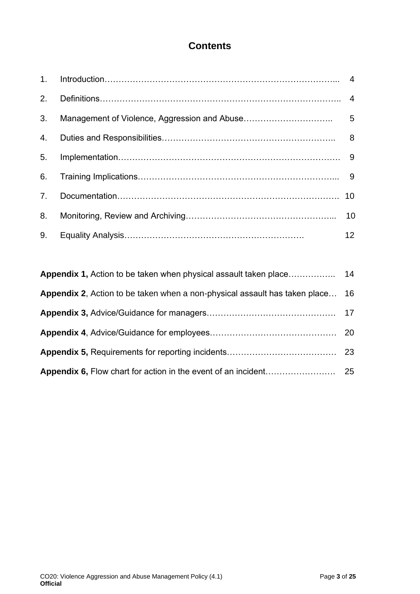# **Contents**

| 3. |    |
|----|----|
| 4. |    |
| 5. |    |
|    |    |
|    |    |
| 8. |    |
| 9. | 12 |

| Appendix 2, Action to be taken when a non-physical assault has taken place 16 |  |
|-------------------------------------------------------------------------------|--|
|                                                                               |  |
|                                                                               |  |
|                                                                               |  |
|                                                                               |  |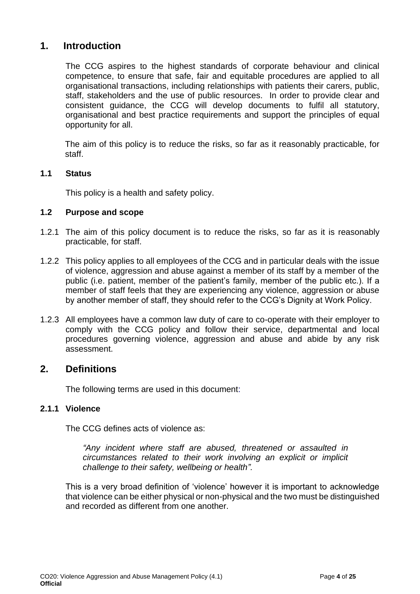## **1. Introduction**

The CCG aspires to the highest standards of corporate behaviour and clinical competence, to ensure that safe, fair and equitable procedures are applied to all organisational transactions, including relationships with patients their carers, public, staff, stakeholders and the use of public resources. In order to provide clear and consistent guidance, the CCG will develop documents to fulfil all statutory, organisational and best practice requirements and support the principles of equal opportunity for all.

The aim of this policy is to reduce the risks, so far as it reasonably practicable, for staff.

### **1.1 Status**

This policy is a health and safety policy.

### **1.2 Purpose and scope**

- 1.2.1 The aim of this policy document is to reduce the risks, so far as it is reasonably practicable, for staff.
- 1.2.2 This policy applies to all employees of the CCG and in particular deals with the issue of violence, aggression and abuse against a member of its staff by a member of the public (i.e. patient, member of the patient's family, member of the public etc.). If a member of staff feels that they are experiencing any violence, aggression or abuse by another member of staff, they should refer to the CCG's Dignity at Work Policy.
- 1.2.3 All employees have a common law duty of care to co-operate with their employer to comply with the CCG policy and follow their service, departmental and local procedures governing violence, aggression and abuse and abide by any risk assessment.

## **2. Definitions**

The following terms are used in this document:

### **2.1.1 Violence**

The CCG defines acts of violence as:

*"Any incident where staff are abused, threatened or assaulted in circumstances related to their work involving an explicit or implicit challenge to their safety, wellbeing or health".*

This is a very broad definition of 'violence' however it is important to acknowledge that violence can be either physical or non-physical and the two must be distinguished and recorded as different from one another.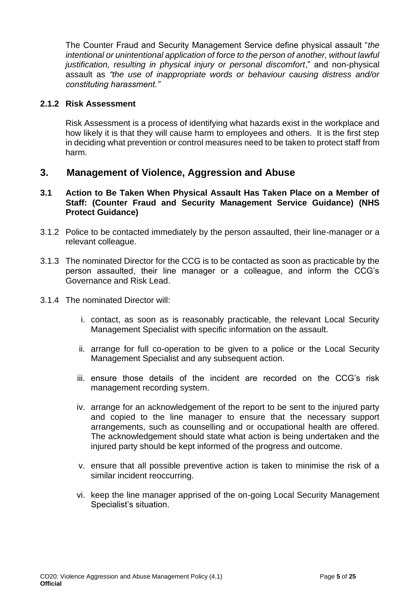The Counter Fraud and Security Management Service define physical assault "*the intentional or unintentional application of force to the person of another, without lawful justification, resulting in physical injury or personal discomfort*," and non-physical assault as *"the use of inappropriate words or behaviour causing distress and/or constituting harassment."*

### **2.1.2 Risk Assessment**

Risk Assessment is a process of identifying what hazards exist in the workplace and how likely it is that they will cause harm to employees and others. It is the first step in deciding what prevention or control measures need to be taken to protect staff from harm.

## **3. Management of Violence, Aggression and Abuse**

#### **3.1 Action to Be Taken When Physical Assault Has Taken Place on a Member of Staff: (Counter Fraud and Security Management Service Guidance) (NHS Protect Guidance)**

- 3.1.2 Police to be contacted immediately by the person assaulted, their line-manager or a relevant colleague.
- 3.1.3 The nominated Director for the CCG is to be contacted as soon as practicable by the person assaulted, their line manager or a colleague, and inform the CCG's Governance and Risk Lead.
- 3.1.4 The nominated Director will:
	- i. contact, as soon as is reasonably practicable, the relevant Local Security Management Specialist with specific information on the assault.
	- ii. arrange for full co-operation to be given to a police or the Local Security Management Specialist and any subsequent action.
	- iii. ensure those details of the incident are recorded on the CCG's risk management recording system.
	- iv. arrange for an acknowledgement of the report to be sent to the injured party and copied to the line manager to ensure that the necessary support arrangements, such as counselling and or occupational health are offered. The acknowledgement should state what action is being undertaken and the injured party should be kept informed of the progress and outcome.
	- v. ensure that all possible preventive action is taken to minimise the risk of a similar incident reoccurring.
	- vi. keep the line manager apprised of the on-going Local Security Management Specialist's situation.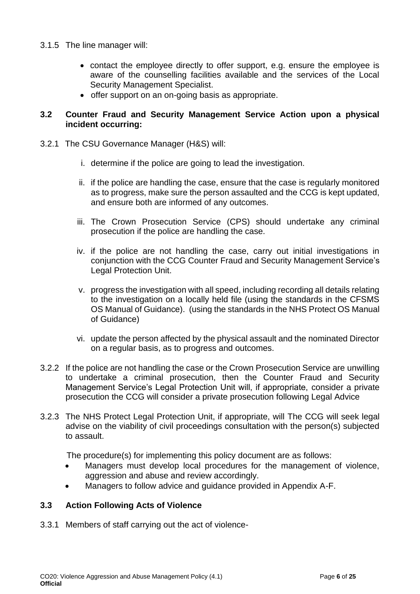- 3.1.5 The line manager will:
	- contact the employee directly to offer support, e.g. ensure the employee is aware of the counselling facilities available and the services of the Local Security Management Specialist.
	- offer support on an on-going basis as appropriate.

### **3.2 Counter Fraud and Security Management Service Action upon a physical incident occurring:**

- 3.2.1 The CSU Governance Manager (H&S) will:
	- i. determine if the police are going to lead the investigation.
	- ii. if the police are handling the case, ensure that the case is regularly monitored as to progress, make sure the person assaulted and the CCG is kept updated, and ensure both are informed of any outcomes.
	- iii. The Crown Prosecution Service (CPS) should undertake any criminal prosecution if the police are handling the case.
	- iv. if the police are not handling the case, carry out initial investigations in conjunction with the CCG Counter Fraud and Security Management Service's Legal Protection Unit.
	- v. progress the investigation with all speed, including recording all details relating to the investigation on a locally held file (using the standards in the CFSMS OS Manual of Guidance). (using the standards in the NHS Protect OS Manual of Guidance)
	- vi. update the person affected by the physical assault and the nominated Director on a regular basis, as to progress and outcomes.
- 3.2.2 If the police are not handling the case or the Crown Prosecution Service are unwilling to undertake a criminal prosecution, then the Counter Fraud and Security Management Service's Legal Protection Unit will, if appropriate, consider a private prosecution the CCG will consider a private prosecution following Legal Advice
- 3.2.3 The NHS Protect Legal Protection Unit, if appropriate, will The CCG will seek legal advise on the viability of civil proceedings consultation with the person(s) subjected to assault.

The procedure(s) for implementing this policy document are as follows:

- Managers must develop local procedures for the management of violence, aggression and abuse and review accordingly.
- Managers to follow advice and guidance provided in Appendix A-F.

## **3.3 Action Following Acts of Violence**

3.3.1 Members of staff carrying out the act of violence-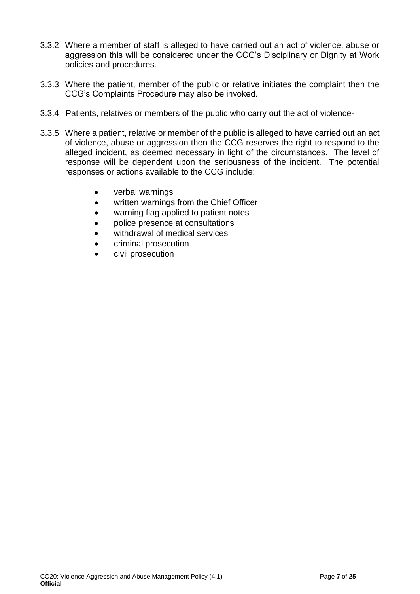- 3.3.2 Where a member of staff is alleged to have carried out an act of violence, abuse or aggression this will be considered under the CCG's Disciplinary or Dignity at Work policies and procedures.
- 3.3.3 Where the patient, member of the public or relative initiates the complaint then the CCG's Complaints Procedure may also be invoked.
- 3.3.4 Patients, relatives or members of the public who carry out the act of violence-
- 3.3.5 Where a patient, relative or member of the public is alleged to have carried out an act of violence, abuse or aggression then the CCG reserves the right to respond to the alleged incident, as deemed necessary in light of the circumstances. The level of response will be dependent upon the seriousness of the incident. The potential responses or actions available to the CCG include:
	- verbal warnings
	- written warnings from the Chief Officer
	- warning flag applied to patient notes
	- police presence at consultations
	- withdrawal of medical services
	- criminal prosecution
	- civil prosecution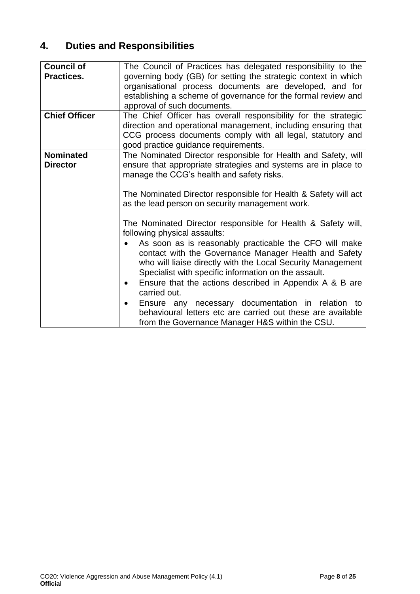# **4. Duties and Responsibilities**

| <b>Council of</b>    | The Council of Practices has delegated responsibility to the    |  |
|----------------------|-----------------------------------------------------------------|--|
| Practices.           | governing body (GB) for setting the strategic context in which  |  |
|                      | organisational process documents are developed, and for         |  |
|                      | establishing a scheme of governance for the formal review and   |  |
|                      | approval of such documents.                                     |  |
| <b>Chief Officer</b> | The Chief Officer has overall responsibility for the strategic  |  |
|                      | direction and operational management, including ensuring that   |  |
|                      | CCG process documents comply with all legal, statutory and      |  |
|                      | good practice guidance requirements.                            |  |
| <b>Nominated</b>     |                                                                 |  |
|                      | The Nominated Director responsible for Health and Safety, will  |  |
| <b>Director</b>      | ensure that appropriate strategies and systems are in place to  |  |
|                      | manage the CCG's health and safety risks.                       |  |
|                      |                                                                 |  |
|                      | The Nominated Director responsible for Health & Safety will act |  |
|                      | as the lead person on security management work.                 |  |
|                      |                                                                 |  |
|                      | The Nominated Director responsible for Health & Safety will,    |  |
|                      | following physical assaults:                                    |  |
|                      | As soon as is reasonably practicable the CFO will make          |  |
|                      | contact with the Governance Manager Health and Safety           |  |
|                      | who will liaise directly with the Local Security Management     |  |
|                      | Specialist with specific information on the assault.            |  |
|                      | Ensure that the actions described in Appendix A & B are         |  |
|                      | carried out.                                                    |  |
|                      | Ensure any necessary documentation in relation to               |  |
|                      | behavioural letters etc are carried out these are available     |  |
|                      | from the Governance Manager H&S within the CSU.                 |  |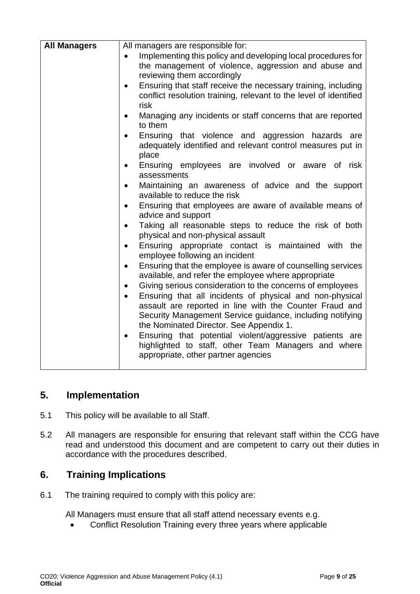| <b>All Managers</b> | All managers are responsible for:                                                  |  |
|---------------------|------------------------------------------------------------------------------------|--|
|                     | Implementing this policy and developing local procedures for                       |  |
|                     | the management of violence, aggression and abuse and                               |  |
|                     | reviewing them accordingly                                                         |  |
|                     | Ensuring that staff receive the necessary training, including<br>$\bullet$         |  |
|                     | conflict resolution training, relevant to the level of identified                  |  |
|                     | risk                                                                               |  |
|                     | Managing any incidents or staff concerns that are reported<br>$\bullet$<br>to them |  |
|                     | Ensuring that violence and aggression hazards are                                  |  |
|                     | adequately identified and relevant control measures put in                         |  |
|                     | place                                                                              |  |
|                     | Ensuring employees are involved or aware of risk<br>assessments                    |  |
|                     | Maintaining an awareness of advice and the support<br>$\bullet$                    |  |
|                     | available to reduce the risk                                                       |  |
|                     | Ensuring that employees are aware of available means of<br>$\bullet$               |  |
|                     | advice and support                                                                 |  |
|                     | Taking all reasonable steps to reduce the risk of both<br>$\bullet$                |  |
|                     | physical and non-physical assault                                                  |  |
|                     | Ensuring appropriate contact is maintained with the<br>$\bullet$                   |  |
|                     | employee following an incident                                                     |  |
|                     | Ensuring that the employee is aware of counselling services<br>$\bullet$           |  |
|                     | available, and refer the employee where appropriate                                |  |
|                     | Giving serious consideration to the concerns of employees<br>$\bullet$             |  |
|                     | Ensuring that all incidents of physical and non-physical                           |  |
|                     |                                                                                    |  |
|                     | assault are reported in line with the Counter Fraud and                            |  |
|                     | Security Management Service guidance, including notifying                          |  |
|                     | the Nominated Director. See Appendix 1.                                            |  |
|                     | Ensuring that potential violent/aggressive patients are                            |  |
|                     | highlighted to staff, other Team Managers and where                                |  |
|                     | appropriate, other partner agencies                                                |  |
|                     |                                                                                    |  |

## **5. Implementation**

- 5.1 This policy will be available to all Staff.
- 5.2 All managers are responsible for ensuring that relevant staff within the CCG have read and understood this document and are competent to carry out their duties in accordance with the procedures described.

## **6. Training Implications**

6.1 The training required to comply with this policy are:

All Managers must ensure that all staff attend necessary events e.g.

• Conflict Resolution Training every three years where applicable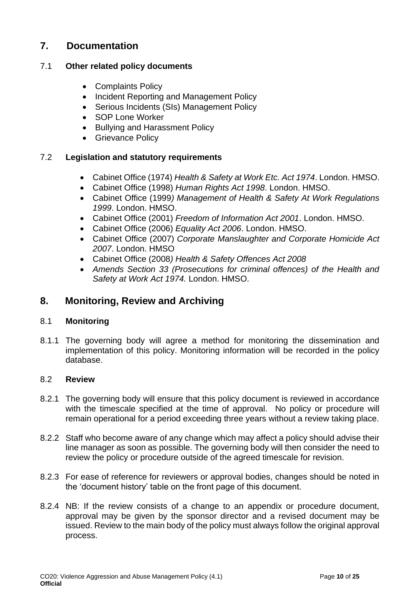## **7. Documentation**

## 7.1 **Other related policy documents**

- Complaints Policy
- Incident Reporting and Management Policy
- Serious Incidents (SIs) Management Policy
- SOP Lone Worker
- Bullying and Harassment Policy
- Grievance Policy

## 7.2 **Legislation and statutory requirements**

- Cabinet Office (1974) *Health & Safety at Work Etc. Act 1974*. London. HMSO.
- Cabinet Office (1998) *Human Rights Act 1998*. London. HMSO.
- Cabinet Office (1999*) Management of Health & Safety At Work Regulations 1999*. London. HMSO.
- Cabinet Office (2001) *Freedom of Information Act 2001*. London. HMSO.
- Cabinet Office (2006) *Equality Act 2006*. London. HMSO.
- Cabinet Office (2007) *Corporate Manslaughter and Corporate Homicide Act 2007*. London. HMSO
- Cabinet Office (2008*) Health & Safety Offences Act 2008*
- *Amends Section 33 (Prosecutions for criminal offences) of the Health and Safety at Work Act 1974.* London. HMSO.

## **8. Monitoring, Review and Archiving**

## 8.1 **Monitoring**

8.1.1 The governing body will agree a method for monitoring the dissemination and implementation of this policy. Monitoring information will be recorded in the policy database.

## 8.2 **Review**

- 8.2.1 The governing body will ensure that this policy document is reviewed in accordance with the timescale specified at the time of approval. No policy or procedure will remain operational for a period exceeding three years without a review taking place.
- 8.2.2 Staff who become aware of any change which may affect a policy should advise their line manager as soon as possible. The governing body will then consider the need to review the policy or procedure outside of the agreed timescale for revision.
- 8.2.3 For ease of reference for reviewers or approval bodies, changes should be noted in the 'document history' table on the front page of this document.
- 8.2.4 NB: If the review consists of a change to an appendix or procedure document, approval may be given by the sponsor director and a revised document may be issued. Review to the main body of the policy must always follow the original approval process.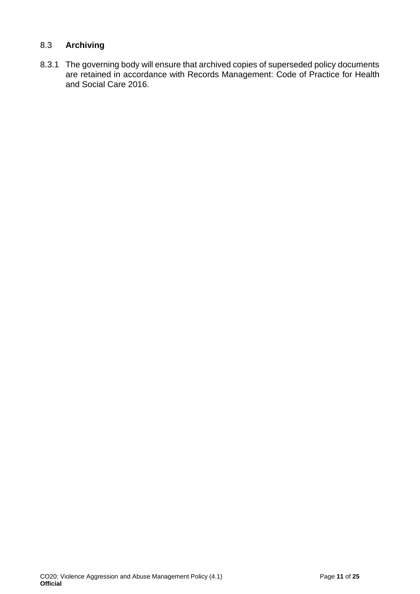## 8.3 **Archiving**

8.3.1 The governing body will ensure that archived copies of superseded policy documents are retained in accordance with Records Management: Code of Practice for Health and Social Care 2016.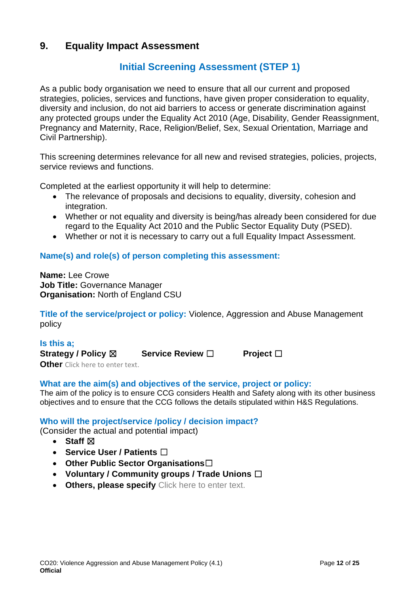## **9. Equality Impact Assessment**

## **Initial Screening Assessment (STEP 1)**

As a public body organisation we need to ensure that all our current and proposed strategies, policies, services and functions, have given proper consideration to equality, diversity and inclusion, do not aid barriers to access or generate discrimination against any protected groups under the Equality Act 2010 (Age, Disability, Gender Reassignment, Pregnancy and Maternity, Race, Religion/Belief, Sex, Sexual Orientation, Marriage and Civil Partnership).

This screening determines relevance for all new and revised strategies, policies, projects, service reviews and functions.

Completed at the earliest opportunity it will help to determine:

- The relevance of proposals and decisions to equality, diversity, cohesion and integration.
- Whether or not equality and diversity is being/has already been considered for due regard to the Equality Act 2010 and the Public Sector Equality Duty (PSED).
- Whether or not it is necessary to carry out a full Equality Impact Assessment.

### **Name(s) and role(s) of person completing this assessment:**

**Name:** Lee Crowe **Job Title:** Governance Manager **Organisation:** North of England CSU

**Title of the service/project or policy:** Violence, Aggression and Abuse Management policy

#### **Is this a; Strategy / Policy** ☒ **Service Review** ☐ **Project** ☐ **Other** Click here to enter text.

#### **What are the aim(s) and objectives of the service, project or policy:**

The aim of the policy is to ensure CCG considers Health and Safety along with its other business objectives and to ensure that the CCG follows the details stipulated within H&S Regulations.

### **Who will the project/service /policy / decision impact?**

(Consider the actual and potential impact)

- **Staff**  $\boxtimes$
- **Service User / Patients** ☐
- **Other Public Sector Organisations**☐
- **Voluntary / Community groups / Trade Unions** ☐
- **Others, please specify** Click here to enter text.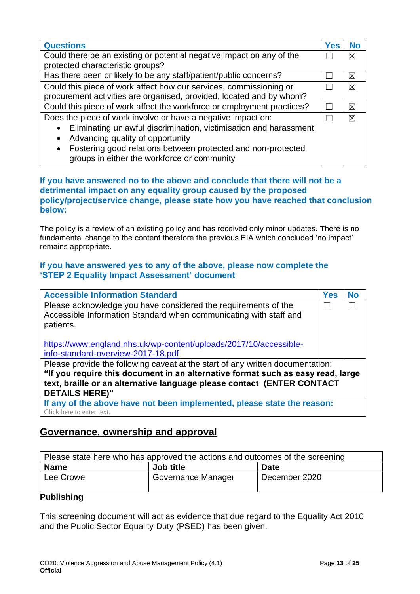| <b>Questions</b>                                                                                                         | <b>Yes</b> | <b>No</b>   |
|--------------------------------------------------------------------------------------------------------------------------|------------|-------------|
| Could there be an existing or potential negative impact on any of the                                                    |            | $\boxtimes$ |
| protected characteristic groups?                                                                                         |            |             |
| Has there been or likely to be any staff/patient/public concerns?                                                        |            | $\boxtimes$ |
| Could this piece of work affect how our services, commissioning or                                                       |            | ⊠           |
| procurement activities are organised, provided, located and by whom?                                                     |            |             |
| Could this piece of work affect the workforce or employment practices?                                                   |            | $\boxtimes$ |
| Does the piece of work involve or have a negative impact on:                                                             |            | $\boxtimes$ |
| Eliminating unlawful discrimination, victimisation and harassment                                                        |            |             |
| Advancing quality of opportunity<br>$\bullet$                                                                            |            |             |
| Fostering good relations between protected and non-protected<br>$\bullet$<br>groups in either the workforce or community |            |             |

#### **If you have answered no to the above and conclude that there will not be a detrimental impact on any equality group caused by the proposed policy/project/service change, please state how you have reached that conclusion below:**

The policy is a review of an existing policy and has received only minor updates. There is no fundamental change to the content therefore the previous EIA which concluded 'no impact' remains appropriate.

### **If you have answered yes to any of the above, please now complete the 'STEP 2 Equality Impact Assessment' document**

| <b>Accessible Information Standard</b>                                          | Yes | <b>No</b> |
|---------------------------------------------------------------------------------|-----|-----------|
| Please acknowledge you have considered the requirements of the                  |     |           |
| Accessible Information Standard when communicating with staff and               |     |           |
| patients.                                                                       |     |           |
|                                                                                 |     |           |
| https://www.england.nhs.uk/wp-content/uploads/2017/10/accessible-               |     |           |
| info-standard-overview-2017-18.pdf                                              |     |           |
| Please provide the following caveat at the start of any written documentation:  |     |           |
| "If you require this document in an alternative format such as easy read, large |     |           |
| text, braille or an alternative language please contact (ENTER CONTACT          |     |           |
| <b>DETAILS HERE)"</b>                                                           |     |           |
| If any of the above have not been implemented, please state the reason:         |     |           |
| Click here to enter text.                                                       |     |           |

## **Governance, ownership and approval**

| Please state here who has approved the actions and outcomes of the screening |                    |               |  |
|------------------------------------------------------------------------------|--------------------|---------------|--|
| <b>Name</b>                                                                  | Job title          | <b>Date</b>   |  |
| Lee Crowe                                                                    | Governance Manager | December 2020 |  |

### **Publishing**

This screening document will act as evidence that due regard to the Equality Act 2010 and the Public Sector Equality Duty (PSED) has been given.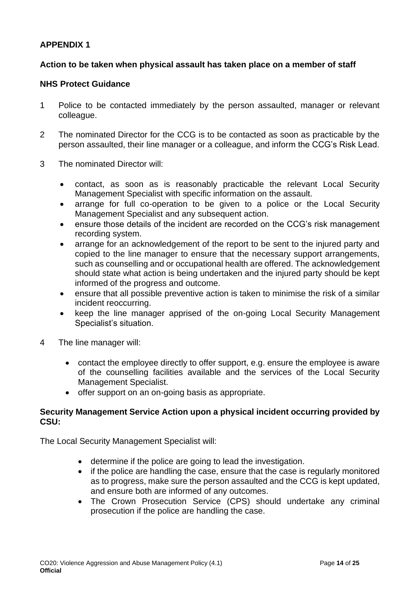### **APPENDIX 1**

### **Action to be taken when physical assault has taken place on a member of staff**

#### **NHS Protect Guidance**

- 1 Police to be contacted immediately by the person assaulted, manager or relevant colleague.
- 2 The nominated Director for the CCG is to be contacted as soon as practicable by the person assaulted, their line manager or a colleague, and inform the CCG's Risk Lead.
- 3 The nominated Director will:
	- contact, as soon as is reasonably practicable the relevant Local Security Management Specialist with specific information on the assault.
	- arrange for full co-operation to be given to a police or the Local Security Management Specialist and any subsequent action.
	- ensure those details of the incident are recorded on the CCG's risk management recording system.
	- arrange for an acknowledgement of the report to be sent to the injured party and copied to the line manager to ensure that the necessary support arrangements, such as counselling and or occupational health are offered. The acknowledgement should state what action is being undertaken and the injured party should be kept informed of the progress and outcome.
	- ensure that all possible preventive action is taken to minimise the risk of a similar incident reoccurring.
	- keep the line manager apprised of the on-going Local Security Management Specialist's situation.
- 4 The line manager will:
	- contact the employee directly to offer support, e.g. ensure the employee is aware of the counselling facilities available and the services of the Local Security Management Specialist.
	- offer support on an on-going basis as appropriate.

### **Security Management Service Action upon a physical incident occurring provided by CSU:**

The Local Security Management Specialist will:

- determine if the police are going to lead the investigation.
- if the police are handling the case, ensure that the case is regularly monitored as to progress, make sure the person assaulted and the CCG is kept updated, and ensure both are informed of any outcomes.
- The Crown Prosecution Service (CPS) should undertake any criminal prosecution if the police are handling the case.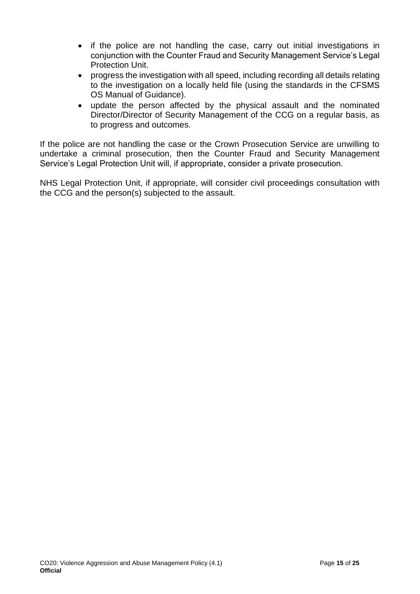- if the police are not handling the case, carry out initial investigations in conjunction with the Counter Fraud and Security Management Service's Legal Protection Unit.
- progress the investigation with all speed, including recording all details relating to the investigation on a locally held file (using the standards in the CFSMS OS Manual of Guidance).
- update the person affected by the physical assault and the nominated Director/Director of Security Management of the CCG on a regular basis, as to progress and outcomes.

If the police are not handling the case or the Crown Prosecution Service are unwilling to undertake a criminal prosecution, then the Counter Fraud and Security Management Service's Legal Protection Unit will, if appropriate, consider a private prosecution.

NHS Legal Protection Unit, if appropriate, will consider civil proceedings consultation with the CCG and the person(s) subjected to the assault.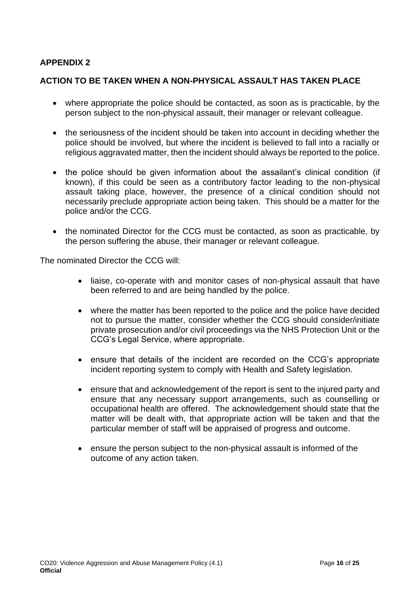### **APPENDIX 2**

### **ACTION TO BE TAKEN WHEN A NON-PHYSICAL ASSAULT HAS TAKEN PLACE**

- where appropriate the police should be contacted, as soon as is practicable, by the person subject to the non-physical assault, their manager or relevant colleague.
- the seriousness of the incident should be taken into account in deciding whether the police should be involved, but where the incident is believed to fall into a racially or religious aggravated matter, then the incident should always be reported to the police.
- the police should be given information about the assailant's clinical condition (if known), if this could be seen as a contributory factor leading to the non-physical assault taking place, however, the presence of a clinical condition should not necessarily preclude appropriate action being taken. This should be a matter for the police and/or the CCG.
- the nominated Director for the CCG must be contacted, as soon as practicable, by the person suffering the abuse, their manager or relevant colleague.

The nominated Director the CCG will:

- liaise, co-operate with and monitor cases of non-physical assault that have been referred to and are being handled by the police.
- where the matter has been reported to the police and the police have decided not to pursue the matter, consider whether the CCG should consider/initiate private prosecution and/or civil proceedings via the NHS Protection Unit or the CCG's Legal Service, where appropriate.
- ensure that details of the incident are recorded on the CCG's appropriate incident reporting system to comply with Health and Safety legislation.
- ensure that and acknowledgement of the report is sent to the injured party and ensure that any necessary support arrangements, such as counselling or occupational health are offered. The acknowledgement should state that the matter will be dealt with, that appropriate action will be taken and that the particular member of staff will be appraised of progress and outcome.
- ensure the person subject to the non-physical assault is informed of the outcome of any action taken.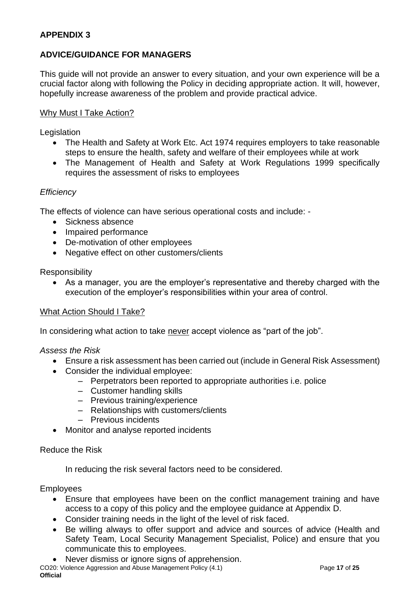## **ADVICE/GUIDANCE FOR MANAGERS**

This guide will not provide an answer to every situation, and your own experience will be a crucial factor along with following the Policy in deciding appropriate action. It will, however, hopefully increase awareness of the problem and provide practical advice.

#### Why Must I Take Action?

**Legislation** 

- The Health and Safety at Work Etc. Act 1974 requires employers to take reasonable steps to ensure the health, safety and welfare of their employees while at work
- The Management of Health and Safety at Work Regulations 1999 specifically requires the assessment of risks to employees

#### *Efficiency*

The effects of violence can have serious operational costs and include: -

- Sickness absence
- Impaired performance
- De-motivation of other employees
- Negative effect on other customers/clients

**Responsibility** 

• As a manager, you are the employer's representative and thereby charged with the execution of the employer's responsibilities within your area of control.

#### What Action Should I Take?

In considering what action to take never accept violence as "part of the job".

#### *Assess the Risk*

- Ensure a risk assessment has been carried out (include in General Risk Assessment)
- Consider the individual employee:
	- Perpetrators been reported to appropriate authorities i.e. police
		- Customer handling skills
		- Previous training/experience
		- Relationships with customers/clients
		- Previous incidents
- Monitor and analyse reported incidents

#### Reduce the Risk

In reducing the risk several factors need to be considered.

#### **Employees**

- Ensure that employees have been on the conflict management training and have access to a copy of this policy and the employee guidance at Appendix D.
- Consider training needs in the light of the level of risk faced.
- Be willing always to offer support and advice and sources of advice (Health and Safety Team, Local Security Management Specialist, Police) and ensure that you communicate this to employees.
- Never dismiss or ignore signs of apprehension.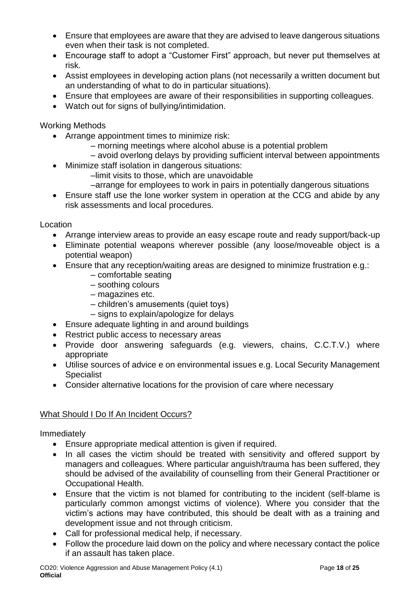- Ensure that employees are aware that they are advised to leave dangerous situations even when their task is not completed.
- Encourage staff to adopt a "Customer First" approach, but never put themselves at risk.
- Assist employees in developing action plans (not necessarily a written document but an understanding of what to do in particular situations).
- Ensure that employees are aware of their responsibilities in supporting colleagues.
- Watch out for signs of bullying/intimidation.

Working Methods

- Arrange appointment times to minimize risk:
	- morning meetings where alcohol abuse is a potential problem
	- avoid overlong delays by providing sufficient interval between appointments
- Minimize staff isolation in dangerous situations:
	- –limit visits to those, which are unavoidable
	- –arrange for employees to work in pairs in potentially dangerous situations
- Ensure staff use the lone worker system in operation at the CCG and abide by any risk assessments and local procedures.

Location

- Arrange interview areas to provide an easy escape route and ready support/back-up
- Eliminate potential weapons wherever possible (any loose/moveable object is a potential weapon)
- Ensure that any reception/waiting areas are designed to minimize frustration e.g.:
	- comfortable seating
	- soothing colours
	- magazines etc.
	- children's amusements (quiet toys)
	- signs to explain/apologize for delays
- Ensure adequate lighting in and around buildings
- Restrict public access to necessary areas
- Provide door answering safeguards (e.g. viewers, chains, C.C.T.V.) where appropriate
- Utilise sources of advice e on environmental issues e.g. Local Security Management **Specialist**
- Consider alternative locations for the provision of care where necessary

## What Should I Do If An Incident Occurs?

Immediately

- Ensure appropriate medical attention is given if required.
- In all cases the victim should be treated with sensitivity and offered support by managers and colleagues. Where particular anguish/trauma has been suffered, they should be advised of the availability of counselling from their General Practitioner or Occupational Health.
- Ensure that the victim is not blamed for contributing to the incident (self-blame is particularly common amongst victims of violence). Where you consider that the victim's actions may have contributed, this should be dealt with as a training and development issue and not through criticism.
- Call for professional medical help, if necessary.
- Follow the procedure laid down on the policy and where necessary contact the police if an assault has taken place.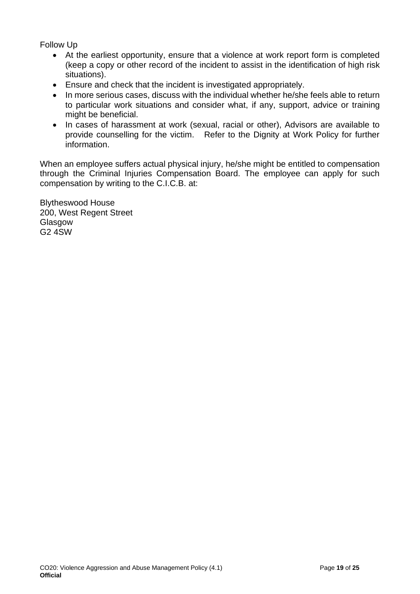Follow Up

- At the earliest opportunity, ensure that a violence at work report form is completed (keep a copy or other record of the incident to assist in the identification of high risk situations).
- Ensure and check that the incident is investigated appropriately.
- In more serious cases, discuss with the individual whether he/she feels able to return to particular work situations and consider what, if any, support, advice or training might be beneficial.
- In cases of harassment at work (sexual, racial or other), Advisors are available to provide counselling for the victim. Refer to the Dignity at Work Policy for further information.

When an employee suffers actual physical injury, he/she might be entitled to compensation through the Criminal Injuries Compensation Board. The employee can apply for such compensation by writing to the C.I.C.B. at:

Blytheswood House 200, West Regent Street Glasgow  $G2$  4SW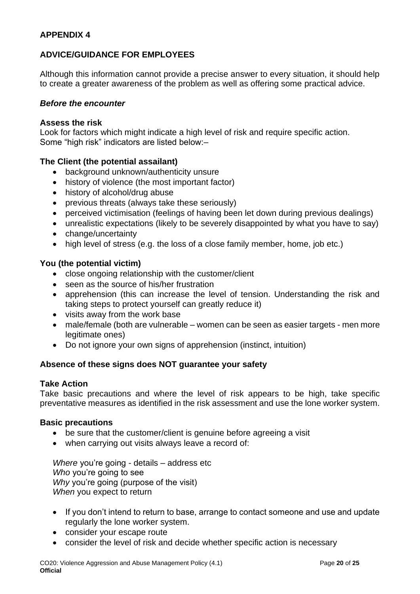## **ADVICE/GUIDANCE FOR EMPLOYEES**

Although this information cannot provide a precise answer to every situation, it should help to create a greater awareness of the problem as well as offering some practical advice.

#### *Before the encounter*

#### **Assess the risk**

Look for factors which might indicate a high level of risk and require specific action. Some "high risk" indicators are listed below:–

#### **The Client (the potential assailant)**

- background unknown/authenticity unsure
- history of violence (the most important factor)
- history of alcohol/drug abuse
- previous threats (always take these seriously)
- perceived victimisation (feelings of having been let down during previous dealings)
- unrealistic expectations (likely to be severely disappointed by what you have to say)
- change/uncertainty
- high level of stress (e.g. the loss of a close family member, home, job etc.)

#### **You (the potential victim)**

- close ongoing relationship with the customer/client
- seen as the source of his/her frustration
- apprehension (this can increase the level of tension. Understanding the risk and taking steps to protect yourself can greatly reduce it)
- visits away from the work base
- male/female (both are vulnerable women can be seen as easier targets men more legitimate ones)
- Do not ignore your own signs of apprehension (instinct, intuition)

### **Absence of these signs does NOT guarantee your safety**

#### **Take Action**

Take basic precautions and where the level of risk appears to be high, take specific preventative measures as identified in the risk assessment and use the lone worker system.

#### **Basic precautions**

- be sure that the customer/client is genuine before agreeing a visit
- when carrying out visits always leave a record of:

*Where* you're going - details – address etc *Who* you're going to see *Why* you're going (purpose of the visit) *When* you expect to return

- If you don't intend to return to base, arrange to contact someone and use and update regularly the lone worker system.
- consider your escape route
- consider the level of risk and decide whether specific action is necessary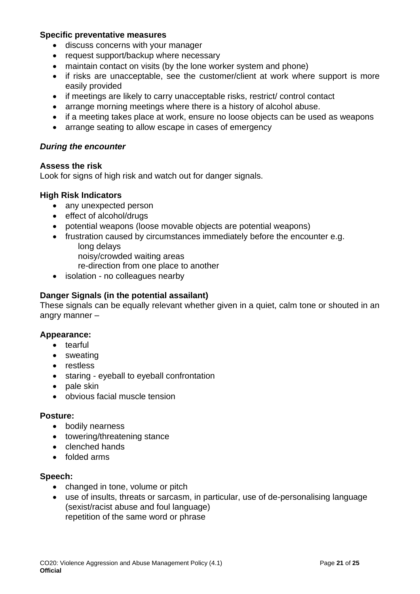#### **Specific preventative measures**

- discuss concerns with your manager
- request support/backup where necessary
- maintain contact on visits (by the lone worker system and phone)
- if risks are unacceptable, see the customer/client at work where support is more easily provided
- if meetings are likely to carry unacceptable risks, restrict/ control contact
- arrange morning meetings where there is a history of alcohol abuse.
- if a meeting takes place at work, ensure no loose objects can be used as weapons
- arrange seating to allow escape in cases of emergency

#### *During the encounter*

#### **Assess the risk**

Look for signs of high risk and watch out for danger signals.

### **High Risk Indicators**

- any unexpected person
- effect of alcohol/drugs
- potential weapons (loose movable objects are potential weapons)
- frustration caused by circumstances immediately before the encounter e.g. long delays
	- noisy/crowded waiting areas
	- re-direction from one place to another
- isolation no colleagues nearby

### **Danger Signals (in the potential assailant)**

These signals can be equally relevant whether given in a quiet, calm tone or shouted in an angry manner –

#### **Appearance:**

- tearful
- sweating
- restless
- staring eyeball to eyeball confrontation
- pale skin
- obvious facial muscle tension

#### **Posture:**

- bodily nearness
- towering/threatening stance
- clenched hands
- folded arms

#### **Speech:**

- changed in tone, volume or pitch
- use of insults, threats or sarcasm, in particular, use of de-personalising language (sexist/racist abuse and foul language) repetition of the same word or phrase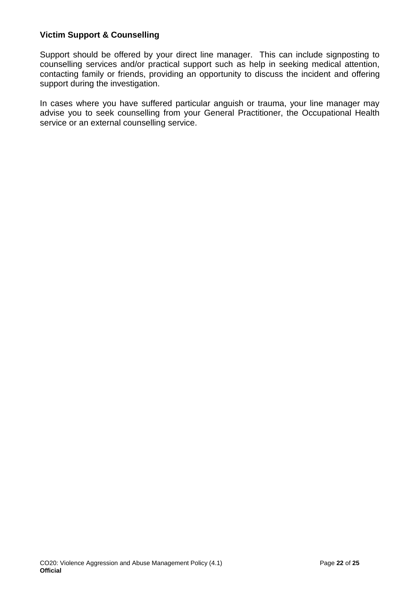### **Victim Support & Counselling**

Support should be offered by your direct line manager. This can include signposting to counselling services and/or practical support such as help in seeking medical attention, contacting family or friends, providing an opportunity to discuss the incident and offering support during the investigation.

In cases where you have suffered particular anguish or trauma, your line manager may advise you to seek counselling from your General Practitioner, the Occupational Health service or an external counselling service.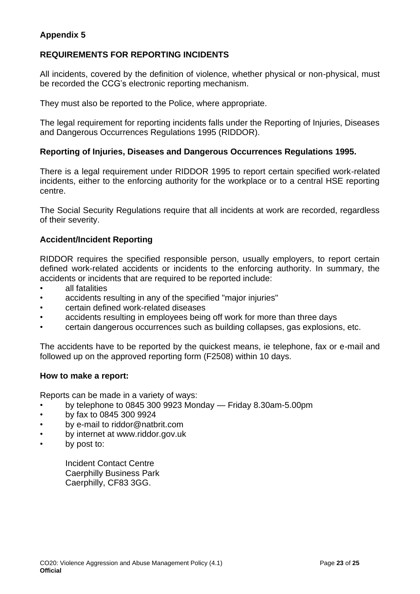## **Appendix 5**

## **REQUIREMENTS FOR REPORTING INCIDENTS**

All incidents, covered by the definition of violence, whether physical or non-physical, must be recorded the CCG's electronic reporting mechanism.

They must also be reported to the Police, where appropriate.

The legal requirement for reporting incidents falls under the Reporting of Injuries, Diseases and Dangerous Occurrences Regulations 1995 (RIDDOR).

### **Reporting of Injuries, Diseases and Dangerous Occurrences Regulations 1995.**

There is a legal requirement under RIDDOR 1995 to report certain specified work-related incidents, either to the enforcing authority for the workplace or to a central HSE reporting centre.

The Social Security Regulations require that all incidents at work are recorded, regardless of their severity.

### **Accident/Incident Reporting**

RIDDOR requires the specified responsible person, usually employers, to report certain defined work-related accidents or incidents to the enforcing authority. In summary, the accidents or incidents that are required to be reported include:

- all fatalities
- accidents resulting in any of the specified "major injuries"
- certain defined work-related diseases
- accidents resulting in employees being off work for more than three days
- certain dangerous occurrences such as building collapses, gas explosions, etc.

The accidents have to be reported by the quickest means, ie telephone, fax or e-mail and followed up on the approved reporting form (F2508) within 10 days.

### **How to make a report:**

Reports can be made in a variety of ways:

- by telephone to 0845 300 9923 Monday Friday 8.30am-5.00pm
- by fax to 0845 300 9924
- by e-mail to riddor@natbrit.com
- by internet at www.riddor.gov.uk
- by post to:

Incident Contact Centre Caerphilly Business Park Caerphilly, CF83 3GG.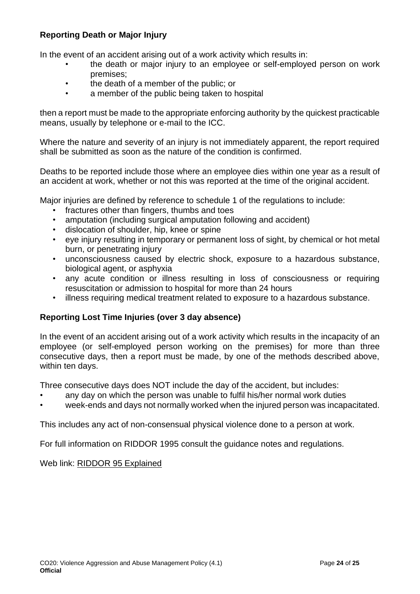## **Reporting Death or Major Injury**

In the event of an accident arising out of a work activity which results in:

- the death or major injury to an employee or self-employed person on work premises;
- the death of a member of the public; or
- a member of the public being taken to hospital

then a report must be made to the appropriate enforcing authority by the quickest practicable means, usually by telephone or e-mail to the ICC.

Where the nature and severity of an injury is not immediately apparent, the report required shall be submitted as soon as the nature of the condition is confirmed.

Deaths to be reported include those where an employee dies within one year as a result of an accident at work, whether or not this was reported at the time of the original accident.

Major injuries are defined by reference to schedule 1 of the regulations to include:

- fractures other than fingers, thumbs and toes
- amputation (including surgical amputation following and accident)
- dislocation of shoulder, hip, knee or spine
- eye injury resulting in temporary or permanent loss of sight, by chemical or hot metal burn, or penetrating injury
- unconsciousness caused by electric shock, exposure to a hazardous substance, biological agent, or asphyxia
- any acute condition or illness resulting in loss of consciousness or requiring resuscitation or admission to hospital for more than 24 hours
- illness requiring medical treatment related to exposure to a hazardous substance.

### **Reporting Lost Time Injuries (over 3 day absence)**

In the event of an accident arising out of a work activity which results in the incapacity of an employee (or self-employed person working on the premises) for more than three consecutive days, then a report must be made, by one of the methods described above, within ten days.

Three consecutive days does NOT include the day of the accident, but includes:

- any day on which the person was unable to fulfil his/her normal work duties
- week-ends and days not normally worked when the injured person was incapacitated.

This includes any act of non-consensual physical violence done to a person at work.

For full information on RIDDOR 1995 consult the guidance notes and regulations.

#### Web link: [RIDDOR 95 Explained](http://www.hse.gov.uk/pubns/hse31.pdf)